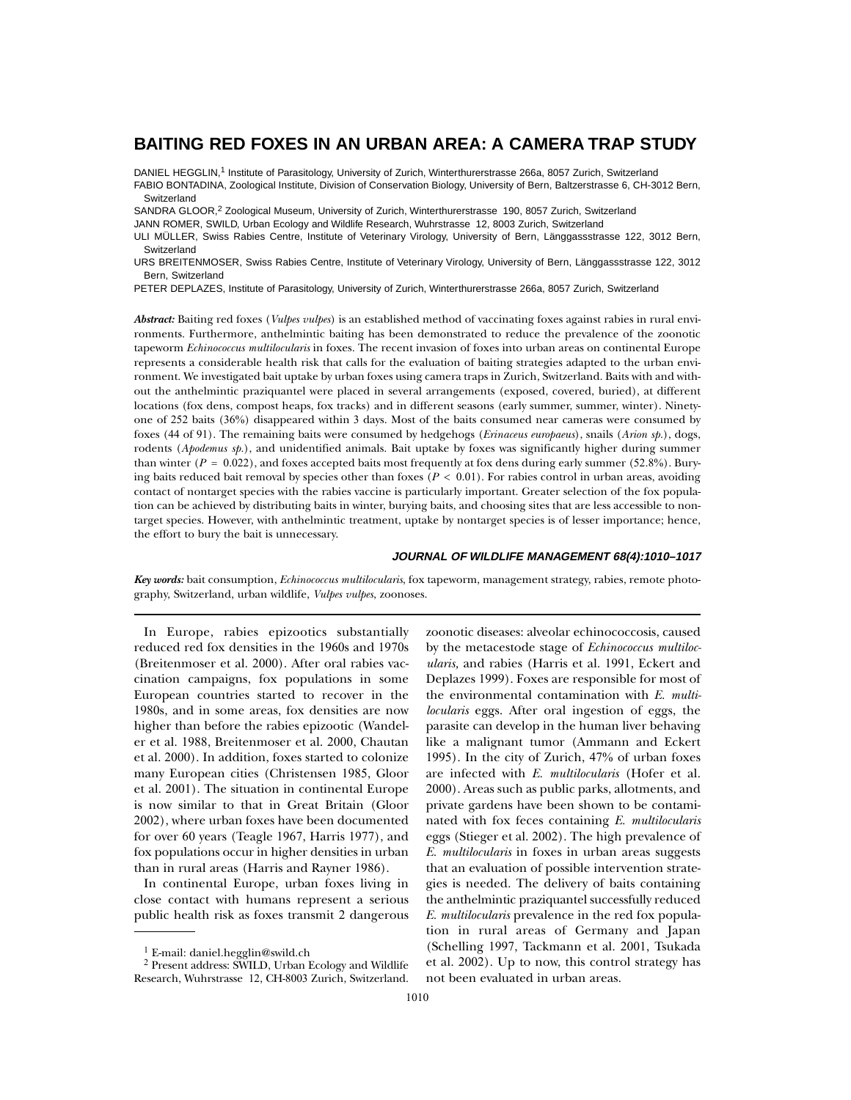# **BAITING RED FOXES IN AN URBAN AREA: A CAMERA TRAP STUDY**

DANIEL HEGGLIN,<sup>1</sup> Institute of Parasitology, University of Zurich, Winterthurerstrasse 266a, 8057 Zurich, Switzerland FABIO BONTADINA, Zoological Institute, Division of Conservation Biology, University of Bern, Baltzerstrasse 6, CH-3012 Bern, Switzerland

SANDRA GLOOR,<sup>2</sup> Zoological Museum, University of Zurich, Winterthurerstrasse 190, 8057 Zurich, Switzerland

JANN ROMER, SWILD, Urban Ecology and Wildlife Research, Wuhrstrasse 12, 8003 Zurich, Switzerland

ULI MÜLLER, Swiss Rabies Centre, Institute of Veterinary Virology, University of Bern, Länggassstrasse 122, 3012 Bern, **Switzerland** 

URS BREITENMOSER, Swiss Rabies Centre, Institute of Veterinary Virology, University of Bern, Länggassstrasse 122, 3012 Bern, Switzerland

PETER DEPLAZES, Institute of Parasitology, University of Zurich, Winterthurerstrasse 266a, 8057 Zurich, Switzerland

*Abstract:* Baiting red foxes (*Vulpes vulpes*) is an established method of vaccinating foxes against rabies in rural environments. Furthermore, anthelmintic baiting has been demonstrated to reduce the prevalence of the zoonotic tapeworm *Echinococcus multilocularis* in foxes. The recent invasion of foxes into urban areas on continental Europe represents a considerable health risk that calls for the evaluation of baiting strategies adapted to the urban environment. We investigated bait uptake by urban foxes using camera traps in Zurich, Switzerland. Baits with and without the anthelmintic praziquantel were placed in several arrangements (exposed, covered, buried), at different locations (fox dens, compost heaps, fox tracks) and in different seasons (early summer, summer, winter). Ninetyone of 252 baits (36%) disappeared within 3 days. Most of the baits consumed near cameras were consumed by foxes (44 of 91). The remaining baits were consumed by hedgehogs (*Erinaceus europaeus*), snails (*Arion sp.*), dogs, rodents (*Apodemus sp.*), and unidentified animals. Bait uptake by foxes was significantly higher during summer than winter  $(P = 0.022)$ , and foxes accepted baits most frequently at fox dens during early summer (52.8%). Burying baits reduced bait removal by species other than foxes  $(P < 0.01)$ . For rabies control in urban areas, avoiding contact of nontarget species with the rabies vaccine is particularly important. Greater selection of the fox population can be achieved by distributing baits in winter, burying baits, and choosing sites that are less accessible to nontarget species. However, with anthelmintic treatment, uptake by nontarget species is of lesser importance; hence, the effort to bury the bait is unnecessary.

#### **JOURNAL OF WILDLIFE MANAGEMENT 68(4):1010–1017**

*Key words:* bait consumption, *Echinococcus multilocularis*, fox tapeworm, management strategy, rabies, remote photography, Switzerland, urban wildlife, *Vulpes vulpes*, zoonoses.

In Europe, rabies epizootics substantially reduced red fox densities in the 1960s and 1970s (Breitenmoser et al. 2000). After oral rabies vaccination campaigns, fox populations in some European countries started to recover in the 1980s, and in some areas, fox densities are now higher than before the rabies epizootic (Wandeler et al. 1988, Breitenmoser et al. 2000, Chautan et al. 2000). In addition, foxes started to colonize many European cities (Christensen 1985, Gloor et al. 2001). The situation in continental Europe is now similar to that in Great Britain (Gloor 2002), where urban foxes have been documented for over 60 years (Teagle 1967, Harris 1977), and fox populations occur in higher densities in urban than in rural areas (Harris and Rayner 1986).

In continental Europe, urban foxes living in close contact with humans represent a serious public health risk as foxes transmit 2 dangerous zoonotic diseases: alveolar echinococcosis, caused by the metacestode stage of *Echinococcus multilocularis,* and rabies (Harris et al. 1991, Eckert and Deplazes 1999). Foxes are responsible for most of the environmental contamination with *E. multilocularis* eggs. After oral ingestion of eggs, the parasite can develop in the human liver behaving like a malignant tumor (Ammann and Eckert 1995). In the city of Zurich, 47% of urban foxes are infected with *E. multilocularis* (Hofer et al. 2000). Areas such as public parks, allotments, and private gardens have been shown to be contaminated with fox feces containing *E. multilocularis* eggs (Stieger et al. 2002). The high prevalence of *E. multilocularis* in foxes in urban areas suggests that an evaluation of possible intervention strategies is needed. The delivery of baits containing the anthelmintic praziquantel successfully reduced *E. multilocularis* prevalence in the red fox population in rural areas of Germany and Japan (Schelling 1997, Tackmann et al. 2001, Tsukada et al. 2002). Up to now, this control strategy has not been evaluated in urban areas.

<sup>&</sup>lt;sup>1</sup> E-mail: daniel.hegglin@swild.ch

<sup>2</sup> Present address: SWILD, Urban Ecology and Wildlife Research, Wuhrstrasse 12, CH-8003 Zurich, Switzerland.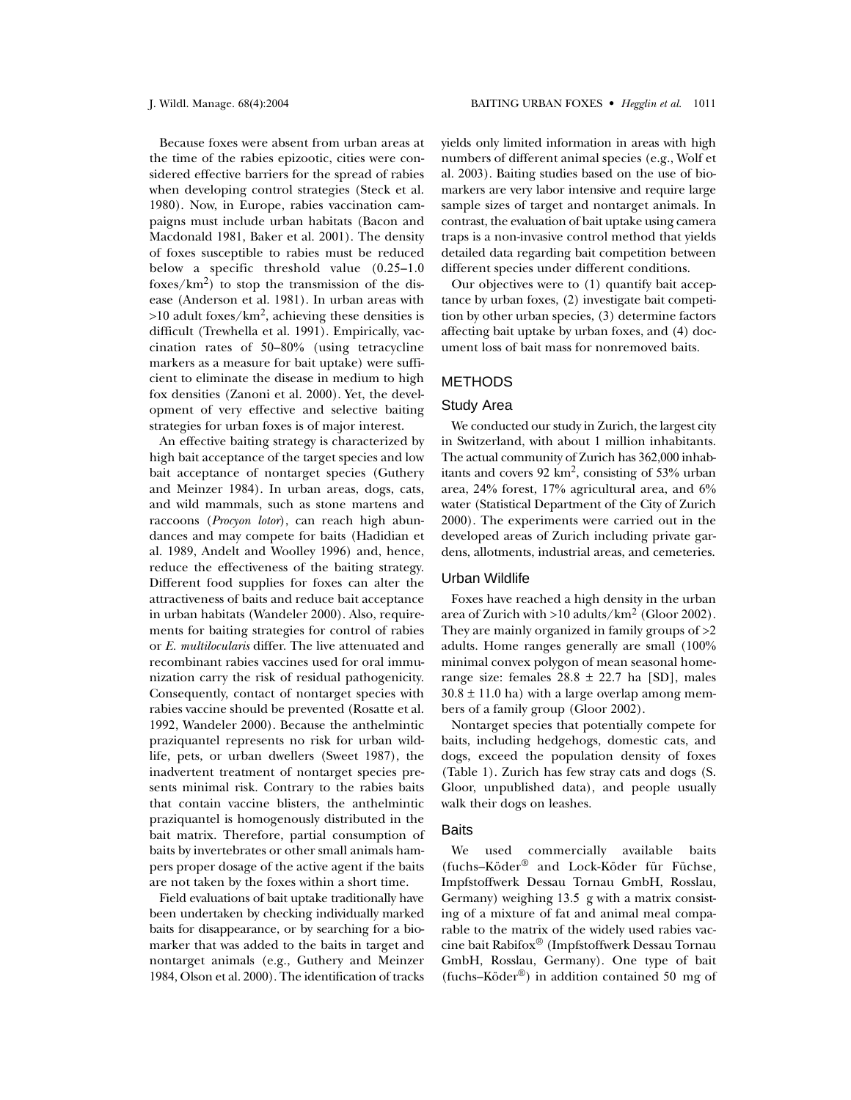Because foxes were absent from urban areas at the time of the rabies epizootic, cities were considered effective barriers for the spread of rabies when developing control strategies (Steck et al. 1980). Now, in Europe, rabies vaccination campaigns must include urban habitats (Bacon and Macdonald 1981, Baker et al. 2001). The density of foxes susceptible to rabies must be reduced below a specific threshold value (0.25–1.0 foxes/ $km^2$ ) to stop the transmission of the disease (Anderson et al. 1981). In urban areas with  $>10$  adult foxes/km<sup>2</sup>, achieving these densities is difficult (Trewhella et al. 1991). Empirically, vaccination rates of 50–80% (using tetracycline markers as a measure for bait uptake) were sufficient to eliminate the disease in medium to high fox densities (Zanoni et al. 2000). Yet, the development of very effective and selective baiting strategies for urban foxes is of major interest.

An effective baiting strategy is characterized by high bait acceptance of the target species and low bait acceptance of nontarget species (Guthery and Meinzer 1984). In urban areas, dogs, cats, and wild mammals, such as stone martens and raccoons (*Procyon lotor*), can reach high abundances and may compete for baits (Hadidian et al. 1989, Andelt and Woolley 1996) and, hence, reduce the effectiveness of the baiting strategy. Different food supplies for foxes can alter the attractiveness of baits and reduce bait acceptance in urban habitats (Wandeler 2000). Also, requirements for baiting strategies for control of rabies or *E. multilocularis* differ. The live attenuated and recombinant rabies vaccines used for oral immunization carry the risk of residual pathogenicity. Consequently, contact of nontarget species with rabies vaccine should be prevented (Rosatte et al. 1992, Wandeler 2000). Because the anthelmintic praziquantel represents no risk for urban wildlife, pets, or urban dwellers (Sweet 1987), the inadvertent treatment of nontarget species presents minimal risk. Contrary to the rabies baits that contain vaccine blisters, the anthelmintic praziquantel is homogenously distributed in the bait matrix. Therefore, partial consumption of baits by invertebrates or other small animals hampers proper dosage of the active agent if the baits are not taken by the foxes within a short time.

Field evaluations of bait uptake traditionally have been undertaken by checking individually marked baits for disappearance, or by searching for a biomarker that was added to the baits in target and nontarget animals (e.g., Guthery and Meinzer 1984, Olson et al. 2000). The identification of tracks yields only limited information in areas with high numbers of different animal species (e.g., Wolf et al. 2003). Baiting studies based on the use of biomarkers are very labor intensive and require large sample sizes of target and nontarget animals. In contrast, the evaluation of bait uptake using camera traps is a non-invasive control method that yields detailed data regarding bait competition between different species under different conditions.

Our objectives were to (1) quantify bait acceptance by urban foxes, (2) investigate bait competition by other urban species, (3) determine factors affecting bait uptake by urban foxes, and (4) document loss of bait mass for nonremoved baits.

# METHODS

#### Study Area

We conducted our study in Zurich, the largest city in Switzerland, with about 1 million inhabitants. The actual community of Zurich has 362,000 inhabitants and covers 92 km2, consisting of 53% urban area, 24% forest, 17% agricultural area, and 6% water (Statistical Department of the City of Zurich 2000). The experiments were carried out in the developed areas of Zurich including private gardens, allotments, industrial areas, and cemeteries.

#### Urban Wildlife

Foxes have reached a high density in the urban area of Zurich with  $>10$  adults/km<sup>2</sup> (Gloor 2002). They are mainly organized in family groups of >2 adults. Home ranges generally are small (100% minimal convex polygon of mean seasonal homerange size: females  $28.8 \pm 22.7$  ha [SD], males  $30.8 \pm 11.0$  ha) with a large overlap among members of a family group (Gloor 2002).

Nontarget species that potentially compete for baits, including hedgehogs, domestic cats, and dogs, exceed the population density of foxes (Table 1). Zurich has few stray cats and dogs (S. Gloor, unpublished data), and people usually walk their dogs on leashes.

## **Baits**

We used commercially available baits (fuchs–Köder® and Lock-Köder für Füchse, Impfstoffwerk Dessau Tornau GmbH, Rosslau, Germany) weighing 13.5 g with a matrix consisting of a mixture of fat and animal meal comparable to the matrix of the widely used rabies vaccine bait Rabifox® (Impfstoffwerk Dessau Tornau GmbH, Rosslau, Germany). One type of bait (fuchs–Köder®) in addition contained 50 mg of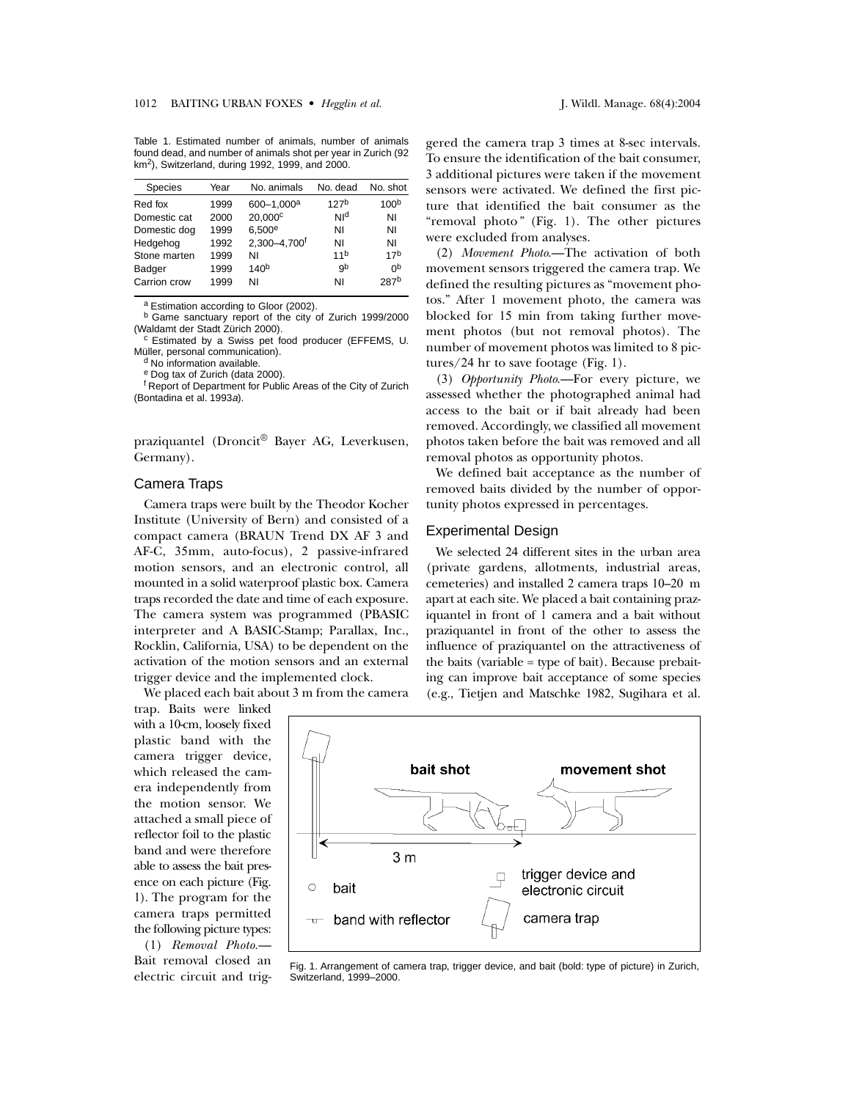Table 1. Estimated number of animals, number of animals found dead, and number of animals shot per year in Zurich (92 km2), Switzerland, during 1992, 1999, and 2000.

| <b>Species</b> | Year | No. animals              | No. dead         | No. shot         |
|----------------|------|--------------------------|------------------|------------------|
| Red fox        | 1999 | 600-1,000 <sup>a</sup>   | 127 <sup>b</sup> | 100 <sup>b</sup> |
| Domestic cat   | 2000 | 20.000 <sup>c</sup>      | NIq              | ΝI               |
| Domestic dog   | 1999 | 6.500e                   | ΝI               | ΝI               |
| Hedgehog       | 1992 | 2.300-4.700 <sup>f</sup> | ΝI               | ΝI               |
| Stone marten   | 1999 | ΝI                       | 11 <sup>b</sup>  | 17 <sup>b</sup>  |
| Badger         | 1999 | 140 <sup>b</sup>         | gb               | 0p               |
| Carrion crow   | 1999 | ΝI                       | ΝI               | 287 <sup>b</sup> |
|                |      |                          |                  |                  |

a Estimation according to Gloor (2002).

 $b$  Game sanctuary report of the city of Zurich 1999/2000 (Waldamt der Stadt Zürich 2000).

<sup>c</sup> Estimated by a Swiss pet food producer (EFFEMS, U. Müller, personal communication).<br>d No information available.

<sup>e</sup> Dog tax of Zurich (data 2000).

f Report of Department for Public Areas of the City of Zurich (Bontadina et al. 1993a).

praziquantel (Droncit® Bayer AG, Leverkusen, Germany).

#### Camera Traps

Camera traps were built by the Theodor Kocher Institute (University of Bern) and consisted of a compact camera (BRAUN Trend DX AF 3 and AF-C, 35mm, auto-focus), 2 passive-infrared motion sensors, and an electronic control, all mounted in a solid waterproof plastic box. Camera traps recorded the date and time of each exposure. The camera system was programmed (PBASIC interpreter and A BASIC-Stamp; Parallax, Inc., Rocklin, California, USA) to be dependent on the activation of the motion sensors and an external trigger device and the implemented clock.

We placed each bait about 3 m from the camera

trap. Baits were linked with a 10-cm, loosely fixed plastic band with the camera trigger device, which released the camera independently from the motion sensor. We attached a small piece of reflector foil to the plastic band and were therefore able to assess the bait presence on each picture (Fig. 1). The program for the camera traps permitted the following picture types:

(1) *Removal Photo*.— Bait removal closed an electric circuit and triggered the camera trap 3 times at 8-sec intervals. To ensure the identification of the bait consumer, 3 additional pictures were taken if the movement sensors were activated. We defined the first picture that identified the bait consumer as the "removal photo*"* (Fig. 1). The other pictures were excluded from analyses.

(2) *Movement Photo*.—The activation of both movement sensors triggered the camera trap. We defined the resulting pictures as "movement photos." After 1 movement photo, the camera was blocked for 15 min from taking further movement photos (but not removal photos). The number of movement photos was limited to 8 pictures/24 hr to save footage (Fig. 1).

(3) *Opportunity Photo*.—For every picture, we assessed whether the photographed animal had access to the bait or if bait already had been removed. Accordingly, we classified all movement photos taken before the bait was removed and all removal photos as opportunity photos.

We defined bait acceptance as the number of removed baits divided by the number of opportunity photos expressed in percentages.

#### Experimental Design

We selected 24 different sites in the urban area (private gardens, allotments, industrial areas, cemeteries) and installed 2 camera traps 10–20 m apart at each site. We placed a bait containing praziquantel in front of 1 camera and a bait without praziquantel in front of the other to assess the influence of praziquantel on the attractiveness of the baits (variable = type of bait). Because prebaiting can improve bait acceptance of some species (e.g., Tietjen and Matschke 1982, Sugihara et al.



Fig. 1. Arrangement of camera trap, trigger device, and bait (bold: type of picture) in Zurich, Switzerland, 1999–2000.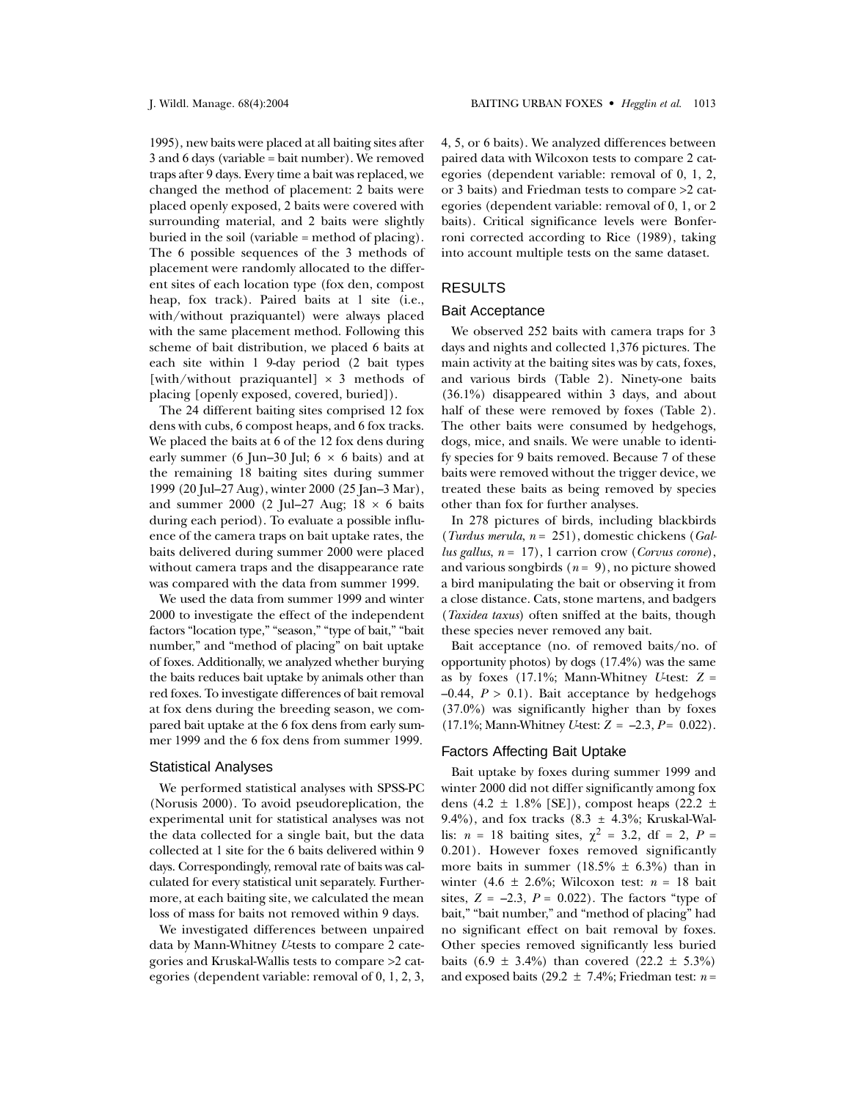1995), new baits were placed at all baiting sites after 3 and 6 days (variable = bait number). We removed traps after 9 days. Every time a bait was replaced, we changed the method of placement: 2 baits were placed openly exposed, 2 baits were covered with surrounding material, and 2 baits were slightly buried in the soil (variable = method of placing). The 6 possible sequences of the 3 methods of placement were randomly allocated to the different sites of each location type (fox den, compost heap, fox track). Paired baits at 1 site (i.e., with/without praziquantel) were always placed with the same placement method. Following this scheme of bait distribution, we placed 6 baits at each site within 1 9-day period (2 bait types [with/without praziquantel]  $\times$  3 methods of placing [openly exposed, covered, buried]).

The 24 different baiting sites comprised 12 fox dens with cubs, 6 compost heaps, and 6 fox tracks. We placed the baits at 6 of the 12 fox dens during early summer (6 Jun–30 Jul;  $6 \times 6$  baits) and at the remaining 18 baiting sites during summer 1999 (20 Jul–27 Aug), winter 2000 (25 Jan–3 Mar), and summer 2000 (2 Jul–27 Aug;  $18 \times 6$  baits during each period). To evaluate a possible influence of the camera traps on bait uptake rates, the baits delivered during summer 2000 were placed without camera traps and the disappearance rate was compared with the data from summer 1999.

We used the data from summer 1999 and winter 2000 to investigate the effect of the independent factors "location type," "season," "type of bait," "bait number," and "method of placing" on bait uptake of foxes. Additionally, we analyzed whether burying the baits reduces bait uptake by animals other than red foxes. To investigate differences of bait removal at fox dens during the breeding season, we compared bait uptake at the 6 fox dens from early summer 1999 and the 6 fox dens from summer 1999.

#### Statistical Analyses

We performed statistical analyses with SPSS-PC (Norusis 2000). To avoid pseudoreplication, the experimental unit for statistical analyses was not the data collected for a single bait, but the data collected at 1 site for the 6 baits delivered within 9 days. Correspondingly, removal rate of baits was calculated for every statistical unit separately. Furthermore, at each baiting site, we calculated the mean loss of mass for baits not removed within 9 days.

We investigated differences between unpaired data by Mann-Whitney *U*-tests to compare 2 categories and Kruskal-Wallis tests to compare >2 categories (dependent variable: removal of 0, 1, 2, 3, 4, 5, or 6 baits). We analyzed differences between paired data with Wilcoxon tests to compare 2 categories (dependent variable: removal of 0, 1, 2, or 3 baits) and Friedman tests to compare >2 categories (dependent variable: removal of 0, 1, or 2 baits). Critical significance levels were Bonferroni corrected according to Rice (1989), taking into account multiple tests on the same dataset.

# RESULTS

## Bait Acceptance

We observed 252 baits with camera traps for 3 days and nights and collected 1,376 pictures. The main activity at the baiting sites was by cats, foxes, and various birds (Table 2). Ninety-one baits (36.1%) disappeared within 3 days, and about half of these were removed by foxes (Table 2). The other baits were consumed by hedgehogs, dogs, mice, and snails. We were unable to identify species for 9 baits removed. Because 7 of these baits were removed without the trigger device, we treated these baits as being removed by species other than fox for further analyses.

In 278 pictures of birds, including blackbirds (*Turdus merula*, *n* = 251), domestic chickens (*Gallus gallus*, *n* = 17), 1 carrion crow (*Corvus corone*), and various songbirds  $(n = 9)$ , no picture showed a bird manipulating the bait or observing it from a close distance. Cats, stone martens, and badgers (*Taxidea taxus*) often sniffed at the baits, though these species never removed any bait.

Bait acceptance (no. of removed baits/no. of opportunity photos) by dogs (17.4%) was the same as by foxes  $(17.1\%;$  Mann-Whitney *U*-test:  $Z =$  $-0.44$ ,  $P > 0.1$ ). Bait acceptance by hedgehogs (37.0%) was significantly higher than by foxes  $(17.1\%;$  Mann-Whitney *U*-test:  $Z = -2.3, P = 0.022$ .

## Factors Affecting Bait Uptake

Bait uptake by foxes during summer 1999 and winter 2000 did not differ significantly among fox dens (4.2  $\pm$  1.8% [SE]), compost heaps (22.2  $\pm$ 9.4%), and fox tracks  $(8.3 \pm 4.3\%)$ ; Kruskal-Wallis:  $n = 18$  baiting sites,  $\chi^2 = 3.2$ , df = 2, P = 0.201). However foxes removed significantly more baits in summer (18.5%  $\pm$  6.3%) than in winter  $(4.6 \pm 2.6\%)$ ; Wilcoxon test:  $n = 18$  bait sites,  $Z = -2.3$ ,  $P = 0.022$ ). The factors "type of bait," "bait number," and "method of placing" had no significant effect on bait removal by foxes. Other species removed significantly less buried baits  $(6.9 \pm 3.4\%)$  than covered  $(22.2 \pm 5.3\%)$ and exposed baits (29.2  $\pm$  7.4%; Friedman test: *n* =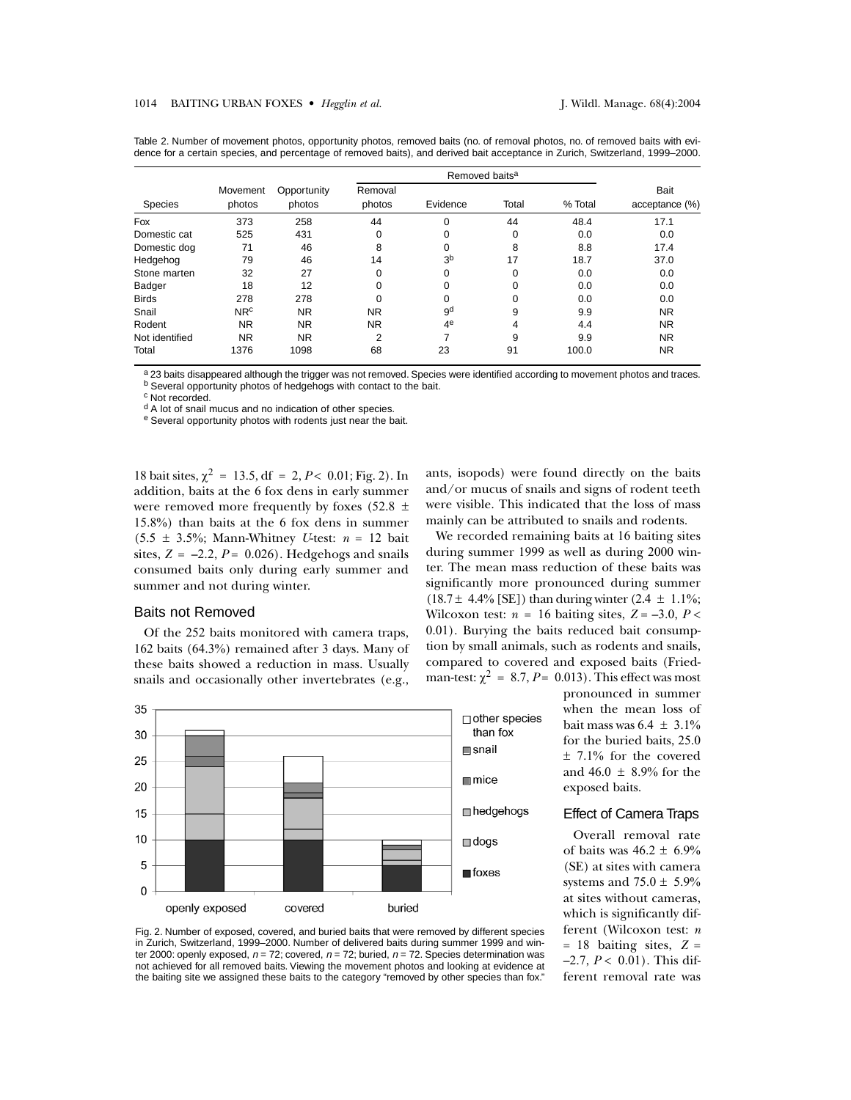|                |                 |             |           | Removed baits <sup>a</sup> |       |         |                |  |
|----------------|-----------------|-------------|-----------|----------------------------|-------|---------|----------------|--|
|                | Movement        | Opportunity | Removal   |                            |       |         | <b>Bait</b>    |  |
| <b>Species</b> | photos          | photos      | photos    | Evidence                   | Total | % Total | acceptance (%) |  |
| Fox            | 373             | 258         | 44        | $\Omega$                   | 44    | 48.4    | 17.1           |  |
| Domestic cat   | 525             | 431         | 0         | 0                          | 0     | 0.0     | 0.0            |  |
| Domestic dog   | 71              | 46          | 8         | 0                          | 8     | 8.8     | 17.4           |  |
| Hedgehog       | 79              | 46          | 14        | 3 <sup>b</sup>             | 17    | 18.7    | 37.0           |  |
| Stone marten   | 32              | 27          | 0         | 0                          | 0     | 0.0     | 0.0            |  |
| Badger         | 18              | 12          | $\Omega$  | $\Omega$                   | 0     | 0.0     | 0.0            |  |
| <b>Birds</b>   | 278             | 278         | 0         | O                          | 0     | 0.0     | 0.0            |  |
| Snail          | NR <sup>c</sup> | NR.         | <b>NR</b> | gd                         | 9     | 9.9     | <b>NR</b>      |  |
| Rodent         | <b>NR</b>       | <b>NR</b>   | NR.       | 4 <sup>e</sup>             | 4     | 4.4     | <b>NR</b>      |  |
| Not identified | <b>NR</b>       | <b>NR</b>   | 2         | ⇁                          | 9     | 9.9     | <b>NR</b>      |  |
| Total          | 1376            | 1098        | 68        | 23                         | 91    | 100.0   | <b>NR</b>      |  |

Table 2. Number of movement photos, opportunity photos, removed baits (no. of removal photos, no. of removed baits with evidence for a certain species, and percentage of removed baits), and derived bait acceptance in Zurich, Switzerland, 1999–2000.

a 23 baits disappeared although the trigger was not removed. Species were identified according to movement photos and traces. b Several opportunity photos of hedgehogs with contact to the bait.

c Not recorded.

<sup>d</sup> A lot of snail mucus and no indication of other species.

e Several opportunity photos with rodents just near the bait.

18 bait sites,  $\chi^2 = 13.5$ , df = 2, *P* < 0.01; Fig. 2). In addition, baits at the 6 fox dens in early summer were removed more frequently by foxes (52.8  $\pm$ 15.8%) than baits at the 6 fox dens in summer  $(5.5 \pm 3.5\%)$ ; Mann-Whitney *U*-test:  $n = 12$  bait sites,  $Z = -2.2$ ,  $P = 0.026$ . Hedgehogs and snails consumed baits only during early summer and summer and not during winter.

# Baits not Removed

Of the 252 baits monitored with camera traps, 162 baits (64.3%) remained after 3 days. Many of these baits showed a reduction in mass. Usually snails and occasionally other invertebrates (e.g., ants, isopods) were found directly on the baits and/or mucus of snails and signs of rodent teeth were visible. This indicated that the loss of mass mainly can be attributed to snails and rodents.

We recorded remaining baits at 16 baiting sites during summer 1999 as well as during 2000 winter. The mean mass reduction of these baits was significantly more pronounced during summer  $(18.7 \pm 4.4\%$  [SE]) than during winter  $(2.4 \pm 1.1\%;$ Wilcoxon test:  $n = 16$  baiting sites,  $Z = -3.0$ ,  $P <$ 0.01). Burying the baits reduced bait consumption by small animals, such as rodents and snails, compared to covered and exposed baits (Friedman-test:  $\chi^2 = 8.7$ ,  $P = 0.013$ ). This effect was most



pronounced in summer when the mean loss of bait mass was  $6.4 \pm 3.1\%$ for the buried baits, 25.0 ± 7.1% for the covered and 46.0  $\pm$  8.9% for the exposed baits.

#### Effect of Camera Traps

Overall removal rate of baits was  $46.2 \pm 6.9\%$ (SE) at sites with camera systems and  $75.0 \pm 5.9\%$ at sites without cameras, which is significantly different (Wilcoxon test: *n*  $= 18$  baiting sites,  $Z =$  $-2.7, P < 0.01$ ). This different removal rate was

Fig. 2. Number of exposed, covered, and buried baits that were removed by different species in Zurich, Switzerland, 1999–2000. Number of delivered baits during summer 1999 and winter 2000: openly exposed,  $n = 72$ ; covered,  $n = 72$ ; buried,  $n = 72$ . Species determination was not achieved for all removed baits. Viewing the movement photos and looking at evidence at the baiting site we assigned these baits to the category "removed by other species than fox."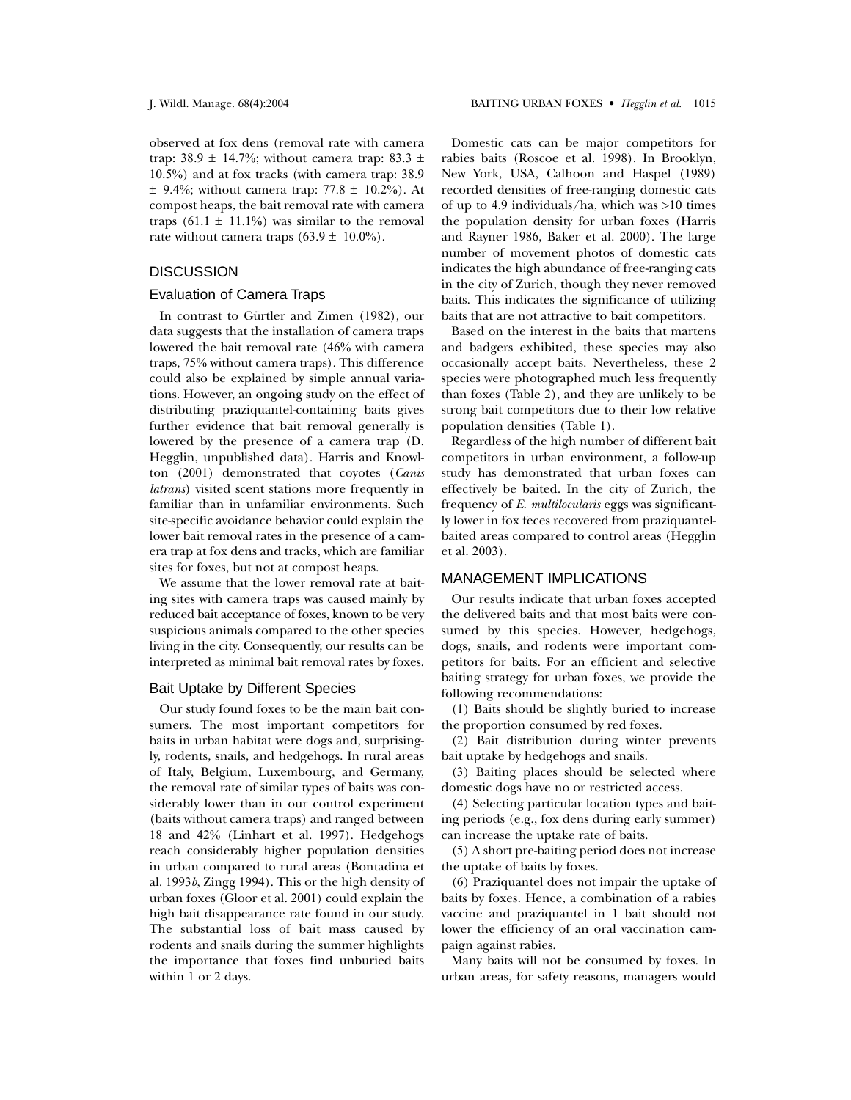observed at fox dens (removal rate with camera trap: 38.9  $\pm$  14.7%; without camera trap: 83.3  $\pm$ 10.5%) and at fox tracks (with camera trap: 38.9  $\pm$  9.4%; without camera trap: 77.8  $\pm$  10.2%). At compost heaps, the bait removal rate with camera traps  $(61.1 \pm 11.1\%)$  was similar to the removal rate without camera traps  $(63.9 \pm 10.0\%)$ .

# **DISCUSSION**

## Evaluation of Camera Traps

In contrast to Gürtler and Zimen (1982), our data suggests that the installation of camera traps lowered the bait removal rate (46% with camera traps, 75% without camera traps). This difference could also be explained by simple annual variations. However, an ongoing study on the effect of distributing praziquantel-containing baits gives further evidence that bait removal generally is lowered by the presence of a camera trap (D. Hegglin, unpublished data). Harris and Knowlton (2001) demonstrated that coyotes (*Canis latrans*) visited scent stations more frequently in familiar than in unfamiliar environments. Such site-specific avoidance behavior could explain the lower bait removal rates in the presence of a camera trap at fox dens and tracks, which are familiar sites for foxes, but not at compost heaps.

We assume that the lower removal rate at baiting sites with camera traps was caused mainly by reduced bait acceptance of foxes, known to be very suspicious animals compared to the other species living in the city. Consequently, our results can be interpreted as minimal bait removal rates by foxes.

## Bait Uptake by Different Species

Our study found foxes to be the main bait consumers. The most important competitors for baits in urban habitat were dogs and, surprisingly, rodents, snails, and hedgehogs. In rural areas of Italy, Belgium, Luxembourg, and Germany, the removal rate of similar types of baits was considerably lower than in our control experiment (baits without camera traps) and ranged between 18 and 42% (Linhart et al. 1997). Hedgehogs reach considerably higher population densities in urban compared to rural areas (Bontadina et al. 1993*b*, Zingg 1994). This or the high density of urban foxes (Gloor et al. 2001) could explain the high bait disappearance rate found in our study. The substantial loss of bait mass caused by rodents and snails during the summer highlights the importance that foxes find unburied baits within 1 or 2 days.

Domestic cats can be major competitors for rabies baits (Roscoe et al. 1998). In Brooklyn, New York, USA, Calhoon and Haspel (1989) recorded densities of free-ranging domestic cats of up to 4.9 individuals/ha, which was >10 times the population density for urban foxes (Harris and Rayner 1986, Baker et al. 2000). The large number of movement photos of domestic cats indicates the high abundance of free-ranging cats in the city of Zurich, though they never removed baits. This indicates the significance of utilizing baits that are not attractive to bait competitors.

Based on the interest in the baits that martens and badgers exhibited, these species may also occasionally accept baits. Nevertheless, these 2 species were photographed much less frequently than foxes (Table 2), and they are unlikely to be strong bait competitors due to their low relative population densities (Table 1).

Regardless of the high number of different bait competitors in urban environment, a follow-up study has demonstrated that urban foxes can effectively be baited. In the city of Zurich, the frequency of *E. multilocularis* eggs was significantly lower in fox feces recovered from praziquantelbaited areas compared to control areas (Hegglin et al. 2003).

## MANAGEMENT IMPLICATIONS

Our results indicate that urban foxes accepted the delivered baits and that most baits were consumed by this species. However, hedgehogs, dogs, snails, and rodents were important competitors for baits. For an efficient and selective baiting strategy for urban foxes, we provide the following recommendations:

(1) Baits should be slightly buried to increase the proportion consumed by red foxes.

(2) Bait distribution during winter prevents bait uptake by hedgehogs and snails.

(3) Baiting places should be selected where domestic dogs have no or restricted access.

(4) Selecting particular location types and baiting periods (e.g., fox dens during early summer) can increase the uptake rate of baits.

(5) A short pre-baiting period does not increase the uptake of baits by foxes.

(6) Praziquantel does not impair the uptake of baits by foxes. Hence, a combination of a rabies vaccine and praziquantel in 1 bait should not lower the efficiency of an oral vaccination campaign against rabies.

Many baits will not be consumed by foxes. In urban areas, for safety reasons, managers would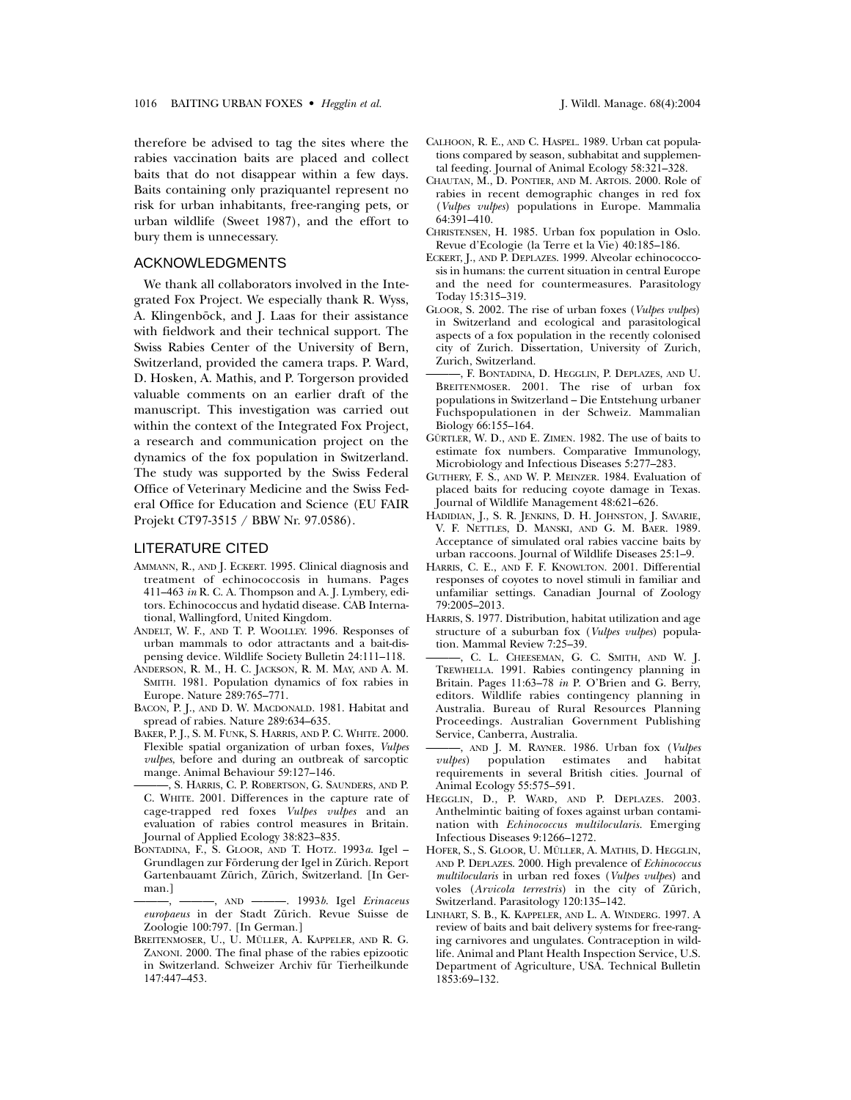therefore be advised to tag the sites where the rabies vaccination baits are placed and collect baits that do not disappear within a few days. Baits containing only praziquantel represent no risk for urban inhabitants, free-ranging pets, or urban wildlife (Sweet 1987), and the effort to bury them is unnecessary.

# ACKNOWLEDGMENTS

We thank all collaborators involved in the Integrated Fox Project. We especially thank R. Wyss, A. Klingenböck, and J. Laas for their assistance with fieldwork and their technical support. The Swiss Rabies Center of the University of Bern, Switzerland, provided the camera traps. P. Ward, D. Hosken, A. Mathis, and P. Torgerson provided valuable comments on an earlier draft of the manuscript. This investigation was carried out within the context of the Integrated Fox Project, a research and communication project on the dynamics of the fox population in Switzerland. The study was supported by the Swiss Federal Office of Veterinary Medicine and the Swiss Federal Office for Education and Science (EU FAIR Projekt CT97-3515 / BBW Nr. 97.0586).

#### LITERATURE CITED

- AMMANN, R., AND J. ECKERT. 1995. Clinical diagnosis and treatment of echinococcosis in humans. Pages 411–463 *in* R. C. A. Thompson and A. J. Lymbery, editors. Echinococcus and hydatid disease. CAB International, Wallingford, United Kingdom.
- ANDELT, W. F., AND T. P. WOOLLEY. 1996. Responses of urban mammals to odor attractants and a bait-dispensing device. Wildlife Society Bulletin 24:111–118.
- ANDERSON, R. M., H. C. JACKSON, R. M. MAY, AND A. M. SMITH. 1981. Population dynamics of fox rabies in Europe. Nature 289:765–771.
- BACON, P. J., AND D. W. MACDONALD. 1981. Habitat and spread of rabies. Nature 289:634–635.
- BAKER, P.J., S. M. FUNK, S. HARRIS, AND P. C. WHITE. 2000. Flexible spatial organization of urban foxes, *Vulpes vulpes*, before and during an outbreak of sarcoptic mange. Animal Behaviour 59:127–146.
- S. HARRIS, C. P. ROBERTSON, G. SAUNDERS, AND P. C. WHITE. 2001. Differences in the capture rate of cage-trapped red foxes *Vulpes vulpes* and an evaluation of rabies control measures in Britain. Journal of Applied Ecology 38:823–835.
- BONTADINA, F., S. GLOOR, AND T. HOTZ. 1993*a*. Igel Grundlagen zur Förderung der Igel in Zürich. Report Gartenbauamt Zürich, Zürich, Switzerland. [In German.]
- ———, ———, AND ———. 1993*b*. Igel *Erinaceus europaeus* in der Stadt Zürich. Revue Suisse de Zoologie 100:797. [In German.]
- BREITENMOSER, U., U. MÜLLER, A. KAPPELER, AND R. G. ZANONI. 2000. The final phase of the rabies epizootic in Switzerland. Schweizer Archiv für Tierheilkunde 147:447–453.
- CALHOON, R. E., AND C. HASPEL. 1989. Urban cat populations compared by season, subhabitat and supplemental feeding. Journal of Animal Ecology 58:321–328.
- CHAUTAN, M., D. PONTIER, AND M. ARTOIS. 2000. Role of rabies in recent demographic changes in red fox (*Vulpes vulpes*) populations in Europe. Mammalia 64:391–410.
- CHRISTENSEN, H. 1985. Urban fox population in Oslo. Revue d'Ecologie (la Terre et la Vie) 40:185–186.
- ECKERT, J., AND P. DEPLAZES. 1999. Alveolar echinococcosis in humans: the current situation in central Europe and the need for countermeasures. Parasitology Today 15:315–319.
- GLOOR, S. 2002. The rise of urban foxes (*Vulpes vulpes*) in Switzerland and ecological and parasitological aspects of a fox population in the recently colonised city of Zurich. Dissertation, University of Zurich, Zurich, Switzerland.
- ———, F. BONTADINA, D. HEGGLIN, P. DEPLAZES, AND U. BREITENMOSER. 2001. The rise of urban fox populations in Switzerland – Die Entstehung urbaner Fuchspopulationen in der Schweiz. Mammalian Biology 66:155–164.
- GÜRTLER, W. D., AND E. ZIMEN. 1982. The use of baits to estimate fox numbers. Comparative Immunology, Microbiology and Infectious Diseases 5:277–283.
- GUTHERY, F. S., AND W. P. MEINZER. 1984. Evaluation of placed baits for reducing coyote damage in Texas. Journal of Wildlife Management 48:621–626.
- HADIDIAN, J., S. R. JENKINS, D. H. JOHNSTON, J. SAVARIE, V. F. NETTLES, D. MANSKI, AND G. M. BAER. 1989. Acceptance of simulated oral rabies vaccine baits by urban raccoons. Journal of Wildlife Diseases 25:1–9.
- HARRIS, C. E., AND F. F. KNOWLTON. 2001. Differential responses of coyotes to novel stimuli in familiar and unfamiliar settings. Canadian Journal of Zoology 79:2005–2013.
- HARRIS, S. 1977. Distribution, habitat utilization and age structure of a suburban fox (*Vulpes vulpes*) population. Mammal Review 7:25–39.
- ———, C. L. CHEESEMAN, G. C. SMITH, AND W. J. TREWHELLA. 1991. Rabies contingency planning in Britain. Pages 11:63–78 *in* P. O'Brien and G. Berry, editors. Wildlife rabies contingency planning in Australia. Bureau of Rural Resources Planning Proceedings. Australian Government Publishing Service, Canberra, Australia.
- ———, AND J. M. RAYNER. 1986. Urban fox (*Vulpes vulpes*) population estimates and habitat requirements in several British cities. Journal of Animal Ecology 55:575–591.
- HEGGLIN, D., P. WARD, AND P. DEPLAZES. 2003. Anthelmintic baiting of foxes against urban contamination with *Echinococcus multilocularis*. Emerging Infectious Diseases 9:1266–1272.
- HOFER, S., S. GLOOR, U. MÜLLER, A. MATHIS, D. HEGGLIN, AND P. DEPLAZES. 2000. High prevalence of *Echinococcus multilocularis* in urban red foxes (*Vulpes vulpes*) and voles (*Arvicola terrestris*) in the city of Zürich, Switzerland. Parasitology 120:135–142.
- LINHART, S. B., K. KAPPELER, AND L. A. WINDERG. 1997. A review of baits and bait delivery systems for free-ranging carnivores and ungulates. Contraception in wildlife. Animal and Plant Health Inspection Service, U.S. Department of Agriculture, USA. Technical Bulletin 1853:69–132.